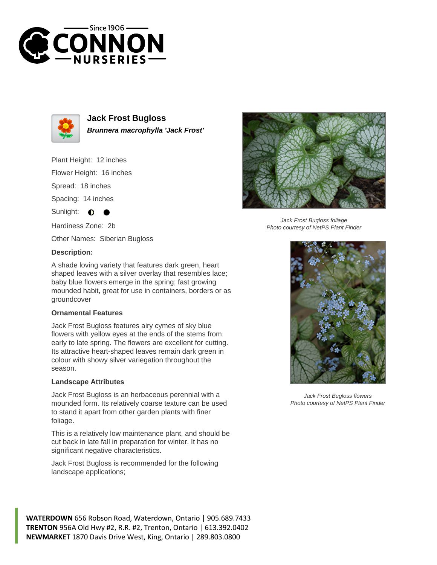



**Jack Frost Bugloss Brunnera macrophylla 'Jack Frost'**

Plant Height: 12 inches

Flower Height: 16 inches

Spread: 18 inches

Spacing: 14 inches

Sunlight:  $\bullet$ 

Hardiness Zone: 2b

Other Names: Siberian Bugloss

## **Description:**

A shade loving variety that features dark green, heart shaped leaves with a silver overlay that resembles lace; baby blue flowers emerge in the spring; fast growing mounded habit, great for use in containers, borders or as groundcover

## **Ornamental Features**

Jack Frost Bugloss features airy cymes of sky blue flowers with yellow eyes at the ends of the stems from early to late spring. The flowers are excellent for cutting. Its attractive heart-shaped leaves remain dark green in colour with showy silver variegation throughout the season.

## **Landscape Attributes**

Jack Frost Bugloss is an herbaceous perennial with a mounded form. Its relatively coarse texture can be used to stand it apart from other garden plants with finer foliage.

This is a relatively low maintenance plant, and should be cut back in late fall in preparation for winter. It has no significant negative characteristics.

Jack Frost Bugloss is recommended for the following landscape applications;





Jack Frost Bugloss foliage Photo courtesy of NetPS Plant Finder



Jack Frost Bugloss flowers Photo courtesy of NetPS Plant Finder